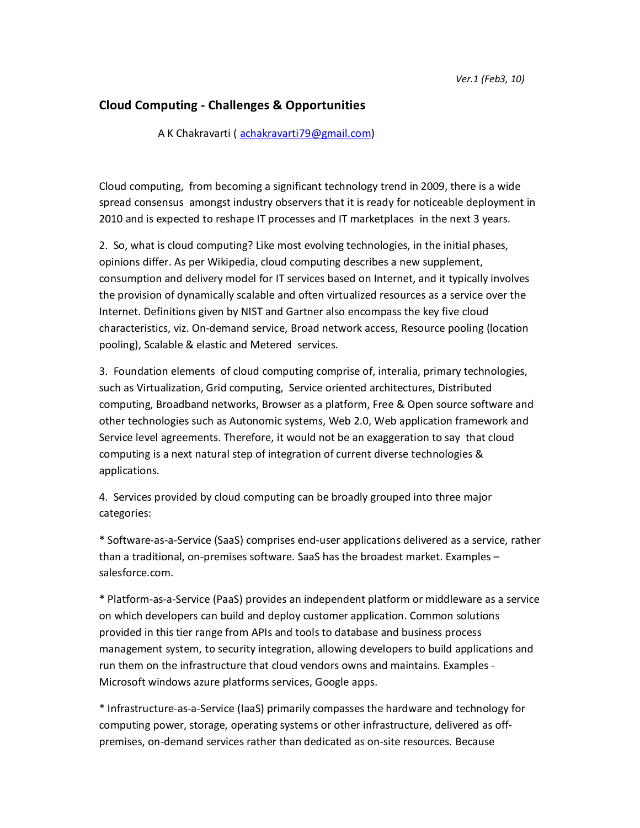## **Cloud Computing - Challenges & Opportunities**

A K Chakravarti ( achakravarti79@gmail.com)

Cloud computing, from becoming a significant technology trend in 2009, there is a wide spread consensus amongst industry observers that it is ready for noticeable deployment in 2010 and is expected to reshape IT processes and IT marketplaces in the next 3 years.

2. So, what is cloud computing? Like most evolving technologies, in the initial phases, opinions differ. As per Wikipedia, cloud computing describes a new supplement, consumption and delivery model for IT services based on Internet, and it typically involves the provision of dynamically scalable and often virtualized resources as a service over the Internet. Definitions given by NIST and Gartner also encompass the key five cloud characteristics, viz. On-demand service, Broad network access, Resource pooling (location pooling), Scalable & elastic and Metered services.

3. Foundation elements of cloud computing comprise of, interalia, primary technologies, such as Virtualization, Grid computing, Service oriented architectures, Distributed computing, Broadband networks, Browser as a platform, Free & Open source software and other technologies such as Autonomic systems, Web 2.0, Web application framework and Service level agreements. Therefore, it would not be an exaggeration to say that cloud computing is a next natural step of integration of current diverse technologies & applications*.* 

4. Services provided by cloud computing can be broadly grouped into three major categories:

\* Software-as-a-Service (SaaS) comprises end-user applications delivered as a service, rather than a traditional, on-premises software. SaaS has the broadest market. Examples – salesforce.com.

\* Platform-as-a-Service (PaaS) provides an independent platform or middleware as a service on which developers can build and deploy customer application. Common solutions provided in this tier range from APIs and tools to database and business process management system, to security integration, allowing developers to build applications and run them on the infrastructure that cloud vendors owns and maintains. Examples - Microsoft windows azure platforms services, Google apps.

\* Infrastructure-as-a-Service (IaaS) primarily compasses the hardware and technology for computing power, storage, operating systems or other infrastructure, delivered as offpremises, on-demand services rather than dedicated as on-site resources. Because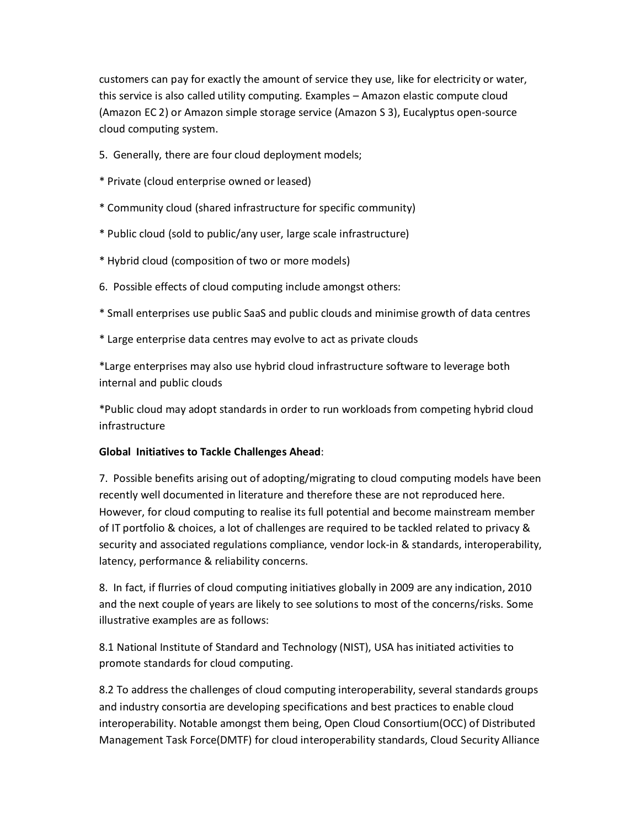customers can pay for exactly the amount of service they use, like for electricity or water, this service is also called utility computing. Examples – Amazon elastic compute cloud (Amazon EC 2) or Amazon simple storage service (Amazon S 3), Eucalyptus open-source cloud computing system.

- 5. Generally, there are four cloud deployment models;
- \* Private (cloud enterprise owned or leased)
- \* Community cloud (shared infrastructure for specific community)
- \* Public cloud (sold to public/any user, large scale infrastructure)
- \* Hybrid cloud (composition of two or more models)
- 6. Possible effects of cloud computing include amongst others:
- \* Small enterprises use public SaaS and public clouds and minimise growth of data centres
- \* Large enterprise data centres may evolve to act as private clouds

\*Large enterprises may also use hybrid cloud infrastructure software to leverage both internal and public clouds

\*Public cloud may adopt standards in order to run workloads from competing hybrid cloud infrastructure

## **Global Initiatives to Tackle Challenges Ahead**:

7. Possible benefits arising out of adopting/migrating to cloud computing models have been recently well documented in literature and therefore these are not reproduced here. However, for cloud computing to realise its full potential and become mainstream member of IT portfolio & choices, a lot of challenges are required to be tackled related to privacy & security and associated regulations compliance, vendor lock-in & standards, interoperability, latency, performance & reliability concerns.

8. In fact, if flurries of cloud computing initiatives globally in 2009 are any indication, 2010 and the next couple of years are likely to see solutions to most of the concerns/risks. Some illustrative examples are as follows:

8.1 National Institute of Standard and Technology (NIST), USA has initiated activities to promote standards for cloud computing.

8.2 To address the challenges of cloud computing interoperability, several standards groups and industry consortia are developing specifications and best practices to enable cloud interoperability. Notable amongst them being, Open Cloud Consortium(OCC) of Distributed Management Task Force(DMTF) for cloud interoperability standards, Cloud Security Alliance